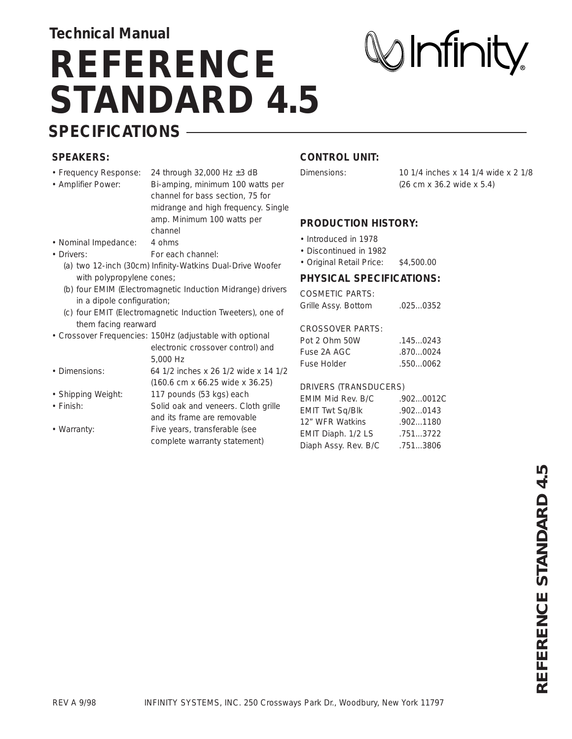### **Technical Manual**

# **SPECIFICATIONS REFERENCE STANDARD 4.5**

# $\oslash$  Infinity

#### **SPEAKERS:**

- Frequency Response: 24 through 32,000 Hz ±3 dB
- 

• Amplifier Power: Bi-amping, minimum 100 watts per channel for bass section, 75 for midrange and high frequency. Single amp. Minimum 100 watts per channel

- Nominal Impedance: 4 ohms
- Drivers: For each channel:
	- (a) two 12-inch (30cm) Infinity-Watkins Dual-Drive Woofer with polypropylene cones;
	- (b) four EMIM (Electromagnetic Induction Midrange) drivers in a dipole configuration;
	- (c) four EMIT (Electromagnetic Induction Tweeters), one of them facing rearward
- Crossover Frequencies: 150Hz (adjustable with optional
- 5,000 Hz • Dimensions: 64 1/2 inches x 26 1/2 wide x 14 1/2
- 
- 
- 

# electronic crossover control) and

- (160.6 cm x 66.25 wide x 36.25)
- Shipping Weight: 117 pounds (53 kgs) each
- Finish: Solid oak and veneers. Cloth grille and its frame are removable
- Warranty: Five years, transferable (see complete warranty statement)

#### **CONTROL UNIT:**

Dimensions: 10 1/4 inches x 14 1/4 wide x 2 1/8 (26 cm x 36.2 wide x 5.4)

#### **PRODUCTION HISTORY:**

- Introduced in 1978
- Discontinued in 1982
- Original Retail Price: \$4,500.00

#### **PHYSICAL SPECIFICATIONS:**

| <b>COSMETIC PARTS:</b> |          |
|------------------------|----------|
| Grille Assy. Bottom    | .0250352 |

#### CROSSOVER PARTS:

| .1450243 |
|----------|
| .8700024 |
| .5500062 |
|          |

#### DRIVERS (TRANSDUCERS)

| EMIM Mid Rev. B/C      | .9020012C |
|------------------------|-----------|
| <b>EMIT Twt Sq/Blk</b> | .9020143  |
| 12" WFR Watkins        | .9021180  |
| EMIT Diaph. 1/2 LS     | .7513722  |
| Diaph Assy. Rev. B/C   | .7513806  |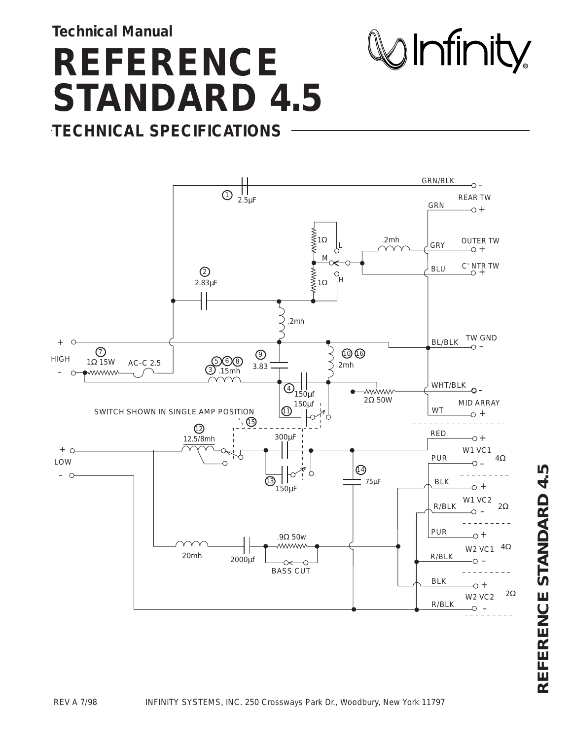**Technical Manual**

# **REFERENCE STANDARD 4.5**

 $\oslash$  Infinity.

## **TECHNICAL SPECIFICATIONS**